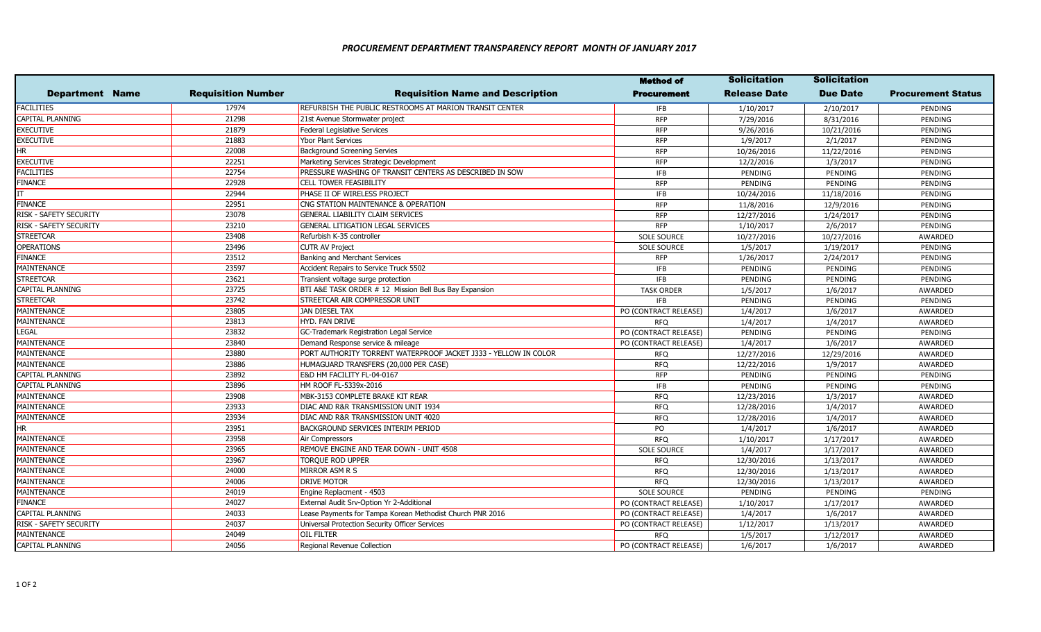|                        |                           |                                                                 | <b>Method of</b>      | <b>Solicitation</b> | <b>Solicitation</b> |                           |
|------------------------|---------------------------|-----------------------------------------------------------------|-----------------------|---------------------|---------------------|---------------------------|
| <b>Department Name</b> | <b>Requisition Number</b> | <b>Requisition Name and Description</b>                         | Procurement           | Release Date        | <b>Due Date</b>     | <b>Procurement Status</b> |
| <b>FACILITIES</b>      | 17974                     | REFURBISH THE PUBLIC RESTROOMS AT MARION TRANSIT CENTER         | <b>IFB</b>            | 1/10/2017           | 2/10/2017           | PENDING                   |
| CAPITAL PLANNING       | 21298                     | 21st Avenue Stormwater project                                  | <b>RFP</b>            | 7/29/2016           | 8/31/2016           | PENDING                   |
| EXECUTIVE              | 21879                     | <b>Federal Legislative Services</b>                             | <b>RFP</b>            | 9/26/2016           | 10/21/2016          | PENDING                   |
| <b>EXECUTIVE</b>       | 21883                     | <b>Ybor Plant Services</b>                                      | <b>RFP</b>            | 1/9/2017            | 2/1/2017            | PENDING                   |
| HR                     | 22008                     | <b>Background Screening Servies</b>                             | <b>RFP</b>            | 10/26/2016          | 11/22/2016          | PENDING                   |
| EXECUTIVE              | 22251                     | Marketing Services Strategic Development                        | <b>RFP</b>            | 12/2/2016           | 1/3/2017            | PENDING                   |
| FACILITIES             | 22754                     | PRESSURE WASHING OF TRANSIT CENTERS AS DESCRIBED IN SOW         | <b>IFB</b>            | PENDING             | PENDING             | PENDING                   |
| <b>FINANCE</b>         | 22928                     | <b>CELL TOWER FEASIBILITY</b>                                   | <b>RFP</b>            | PENDING             | PENDING             | PENDING                   |
|                        | 22944                     | PHASE II OF WIRELESS PROJECT                                    | <b>IFB</b>            | 10/24/2016          | 11/18/2016          | PENDING                   |
| <b>FINANCE</b>         | 22951                     | CNG STATION MAINTENANCE & OPERATION                             | <b>RFP</b>            | 11/8/2016           | 12/9/2016           | PENDING                   |
| RISK - SAFETY SECURITY | 23078                     | <b>GENERAL LIABILITY CLAIM SERVICES</b>                         | <b>RFP</b>            | 12/27/2016          | 1/24/2017           | PENDING                   |
| RISK - SAFETY SECURITY | 23210                     | <b>GENERAL LITIGATION LEGAL SERVICES</b>                        | <b>RFP</b>            | 1/10/2017           | 2/6/2017            | PENDING                   |
| <b>STREETCAR</b>       | 23408                     | Refurbish K-35 controller                                       | <b>SOLE SOURCE</b>    | 10/27/2016          | 10/27/2016          | AWARDED                   |
| <b>OPERATIONS</b>      | 23496                     | <b>CUTR AV Project</b>                                          | <b>SOLE SOURCE</b>    | 1/5/2017            | 1/19/2017           | PENDING                   |
| FINANCE                | 23512                     | <b>Banking and Merchant Services</b>                            | <b>RFP</b>            | 1/26/2017           | 2/24/2017           | PENDING                   |
| MAINTENANCE            | 23597                     | Accident Repairs to Service Truck 5502                          | <b>IFB</b>            | PENDING             | PENDING             | PENDING                   |
| <b>STREETCAR</b>       | 23621                     | Transient voltage surge protection                              | <b>IFB</b>            | PENDING             | PENDING             | PENDING                   |
| CAPITAL PLANNING       | 23725                     | BTI A&E TASK ORDER # 12 Mission Bell Bus Bay Expansion          | <b>TASK ORDER</b>     | 1/5/2017            | 1/6/2017            | AWARDED                   |
| <b>STREETCAR</b>       | 23742                     | STREETCAR AIR COMPRESSOR UNIT                                   | <b>IFB</b>            | PENDING             | PENDING             | PENDING                   |
| MAINTENANCE            | 23805                     | JAN DIESEL TAX                                                  | PO (CONTRACT RELEASE) | 1/4/2017            | 1/6/2017            | AWARDED                   |
| MAINTENANCE            | 23813                     | HYD. FAN DRIVE                                                  | <b>RFQ</b>            | 1/4/2017            | 1/4/2017            | AWARDED                   |
| LEGAL                  | 23832                     | GC-Trademark Registration Legal Service                         | PO (CONTRACT RELEASE) | PENDING             | PENDING             | PENDING                   |
| MAINTENANCE            | 23840                     | Demand Response service & mileage                               | PO (CONTRACT RELEASE) | 1/4/2017            | 1/6/2017            | AWARDED                   |
| MAINTENANCE            | 23880                     | PORT AUTHORITY TORRENT WATERPROOF JACKET J333 - YELLOW IN COLOR | RFQ                   | 12/27/2016          | 12/29/2016          | AWARDED                   |
| MAINTENANCE            | 23886                     | HUMAGUARD TRANSFERS (20,000 PER CASE)                           | <b>RFQ</b>            | 12/22/2016          | 1/9/2017            | AWARDED                   |
| CAPITAL PLANNING       | 23892                     | E&D HM FACILITY FL-04-0167                                      | <b>RFP</b>            | PENDING             | PENDING             | PENDING                   |
| CAPITAL PLANNING       | 23896                     | HM ROOF FL-5339x-2016                                           | <b>IFB</b>            | PENDING             | PENDING             | PENDING                   |
| MAINTENANCE            | 23908                     | MBK-3153 COMPLETE BRAKE KIT REAR                                | <b>RFQ</b>            | 12/23/2016          | 1/3/2017            | AWARDED                   |
| MAINTENANCE            | 23933                     | DIAC AND R&R TRANSMISSION UNIT 1934                             | <b>RFQ</b>            | 12/28/2016          | 1/4/2017            | AWARDED                   |
| MAINTENANCE            | 23934                     | DIAC AND R&R TRANSMISSION UNIT 4020                             | <b>RFQ</b>            | 12/28/2016          | 1/4/2017            | AWARDED                   |
| hr                     | 23951                     | BACKGROUND SERVICES INTERIM PERIOD                              | PO                    | 1/4/2017            | 1/6/2017            | AWARDED                   |
| MAINTENANCE            | 23958                     | Air Compressors                                                 | <b>RFQ</b>            | 1/10/2017           | 1/17/2017           | AWARDED                   |
| MAINTENANCE            | 23965                     | REMOVE ENGINE AND TEAR DOWN - UNIT 4508                         | <b>SOLE SOURCE</b>    | 1/4/2017            | 1/17/2017           | AWARDED                   |
| MAINTENANCE            | 23967                     | TORQUE ROD UPPER                                                | <b>RFQ</b>            | 12/30/2016          | 1/13/2017           | AWARDED                   |
| MAINTENANCE            | 24000                     | MIRROR ASM R S                                                  | <b>RFQ</b>            | 12/30/2016          | 1/13/2017           | AWARDED                   |
| MAINTENANCE            | 24006                     | <b>DRIVE MOTOR</b>                                              | <b>RFQ</b>            | 12/30/2016          | 1/13/2017           | AWARDED                   |
| MAINTENANCE            | 24019                     | Engine Replacment - 4503                                        | <b>SOLE SOURCE</b>    | PENDING             | PENDING             | PENDING                   |
| FINANCE                | 24027                     | External Audit Srv-Option Yr 2-Additional                       | PO (CONTRACT RELEASE) | 1/10/2017           | 1/17/2017           | AWARDED                   |
| CAPITAL PLANNING       | 24033                     | Lease Payments for Tampa Korean Methodist Church PNR 2016       | PO (CONTRACT RELEASE) | 1/4/2017            | 1/6/2017            | AWARDED                   |
| RISK - SAFETY SECURITY | 24037                     | Universal Protection Security Officer Services                  | PO (CONTRACT RELEASE) | 1/12/2017           | 1/13/2017           | AWARDED                   |
| MAINTENANCE            | 24049                     | <b>OIL FILTER</b>                                               | <b>RFQ</b>            | 1/5/2017            | 1/12/2017           | AWARDED                   |
| CAPITAL PLANNING       | 24056                     | Regional Revenue Collection                                     | PO (CONTRACT RELEASE) | 1/6/2017            | 1/6/2017            | AWARDED                   |